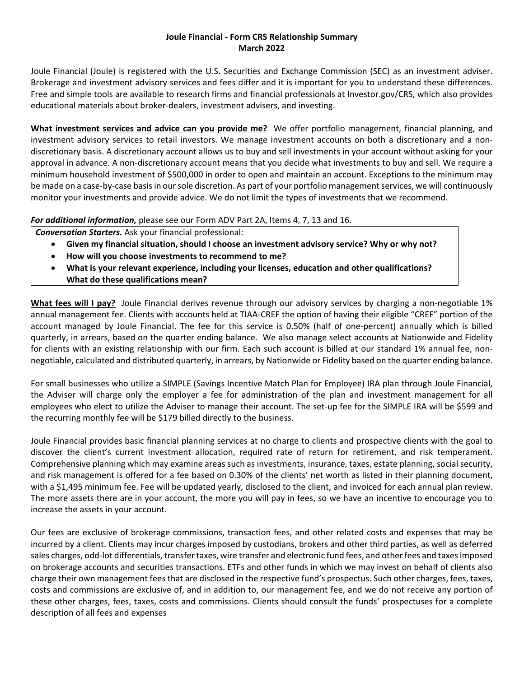#### **Joule Financial - Form CRS Relationship Summary March 2022**

Joule Financial (Joule) is registered with the U.S. Securities and Exchange Commission (SEC) as an investment adviser. Brokerage and investment advisory services and fees differ and it is important for you to understand these differences. Free and simple tools are available to research firms and financial professionals at Investor.gov/CRS, which also provides educational materials about broker-dealers, investment advisers, and investing.

**What investment services and advice can you provide me?** We offer portfolio management, financial planning, and investment advisory services to retail investors. We manage investment accounts on both a discretionary and a nondiscretionary basis. A discretionary account allows us to buy and sell investments in your account without asking for your approval in advance. A non-discretionary account means that you decide what investments to buy and sell. We require a minimum household investment of \$500,000 in order to open and maintain an account. Exceptions to the minimum may be made on a case-by-case basis in our sole discretion. As part of your portfolio management services, we will continuously monitor your investments and provide advice. We do not limit the types of investments that we recommend.

*For additional information,* please see our Form ADV Part 2A, Items 4, 7, 13 and 16.

*Conversation Starters.* Ask your financial professional:

- **Given my financial situation, should I choose an investment advisory service? Why or why not?**
- **How will you choose investments to recommend to me?**
- **What is your relevant experience, including your licenses, education and other qualifications? What do these qualifications mean?**

**What fees will I pay?** Joule Financial derives revenue through our advisory services by charging a non-negotiable 1% annual management fee. Clients with accounts held at TIAA-CREF the option of having their eligible "CREF" portion of the account managed by Joule Financial. The fee for this service is 0.50% (half of one-percent) annually which is billed quarterly, in arrears, based on the quarter ending balance. We also manage select accounts at Nationwide and Fidelity for clients with an existing relationship with our firm. Each such account is billed at our standard 1% annual fee, nonnegotiable, calculated and distributed quarterly, in arrears, by Nationwide or Fidelity based on the quarter ending balance.

For small businesses who utilize a SIMPLE (Savings Incentive Match Plan for Employee) IRA plan through Joule Financial, the Adviser will charge only the employer a fee for administration of the plan and investment management for all employees who elect to utilize the Adviser to manage their account. The set-up fee for the SIMPLE IRA will be \$599 and the recurring monthly fee will be \$179 billed directly to the business.

Joule Financial provides basic financial planning services at no charge to clients and prospective clients with the goal to discover the client's current investment allocation, required rate of return for retirement, and risk temperament. Comprehensive planning which may examine areas such as investments, insurance, taxes, estate planning, social security, and risk management is offered for a fee based on 0.30% of the clients' net worth as listed in their planning document, with a \$1,495 minimum fee. Fee will be updated yearly, disclosed to the client, and invoiced for each annual plan review. The more assets there are in your account, the more you will pay in fees, so we have an incentive to encourage you to increase the assets in your account.

Our fees are exclusive of brokerage commissions, transaction fees, and other related costs and expenses that may be incurred by a client. Clients may incur charges imposed by custodians, brokers and other third parties, as well as deferred sales charges, odd-lot differentials, transfer taxes, wire transfer and electronic fund fees, and other fees and taxes imposed on brokerage accounts and securities transactions. ETFs and other funds in which we may invest on behalf of clients also charge their own management fees that are disclosed in the respective fund's prospectus. Such other charges, fees, taxes, costs and commissions are exclusive of, and in addition to, our management fee, and we do not receive any portion of these other charges, fees, taxes, costs and commissions. Clients should consult the funds' prospectuses for a complete description of all fees and expenses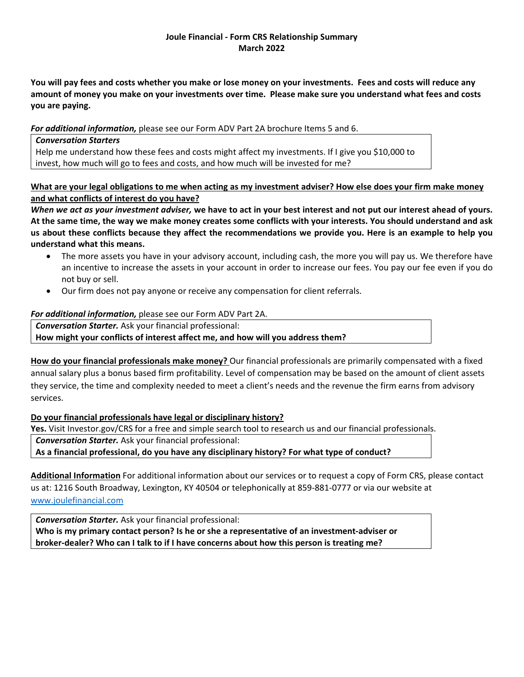## **Joule Financial - Form CRS Relationship Summary March 2022**

**You will pay fees and costs whether you make or lose money on your investments. Fees and costs will reduce any amount of money you make on your investments over time. Please make sure you understand what fees and costs you are paying.** 

*For additional information,* please see our Form ADV Part 2A brochure Items 5 and 6.

*Conversation Starters* Help me understand how these fees and costs might affect my investments. If I give you \$10,000 to invest, how much will go to fees and costs, and how much will be invested for me?

**What are your legal obligations to me when acting as my investment adviser? How else does your firm make money and what conflicts of interest do you have?**

*When we act as your investment adviser,* **we have to act in your best interest and not put our interest ahead of yours. At the same time, the way we make money creates some conflicts with your interests. You should understand and ask us about these conflicts because they affect the recommendations we provide you. Here is an example to help you understand what this means.** 

- The more assets you have in your advisory account, including cash, the more you will pay us. We therefore have an incentive to increase the assets in your account in order to increase our fees. You pay our fee even if you do not buy or sell.
- Our firm does not pay anyone or receive any compensation for client referrals.

## *For additional information,* please see our Form ADV Part 2A.

*Conversation Starter.* Ask your financial professional: **How might your conflicts of interest affect me, and how will you address them?** 

**How do your financial professionals make money?** Our financial professionals are primarily compensated with a fixed annual salary plus a bonus based firm profitability. Level of compensation may be based on the amount of client assets they service, the time and complexity needed to meet a client's needs and the revenue the firm earns from advisory services.

**Do your financial professionals have legal or disciplinary history?**

**Yes.** Visit Investor.gov/CRS for a free and simple search tool to research us and our financial professionals.

*Conversation Starter.* Ask your financial professional:

**As a financial professional, do you have any disciplinary history? For what type of conduct?**

**Additional Information** For additional information about our services or to request a copy of Form CRS, please contact us at: 1216 South Broadway, Lexington, KY 40504 or telephonically at 859-881-0777 or via our website at [www.joulefinancial.com](http://www.joulefinancial.com/)

*Conversation Starter.* Ask your financial professional: **Who is my primary contact person? Is he or she a representative of an investment-adviser or broker-dealer? Who can I talk to if I have concerns about how this person is treating me?**